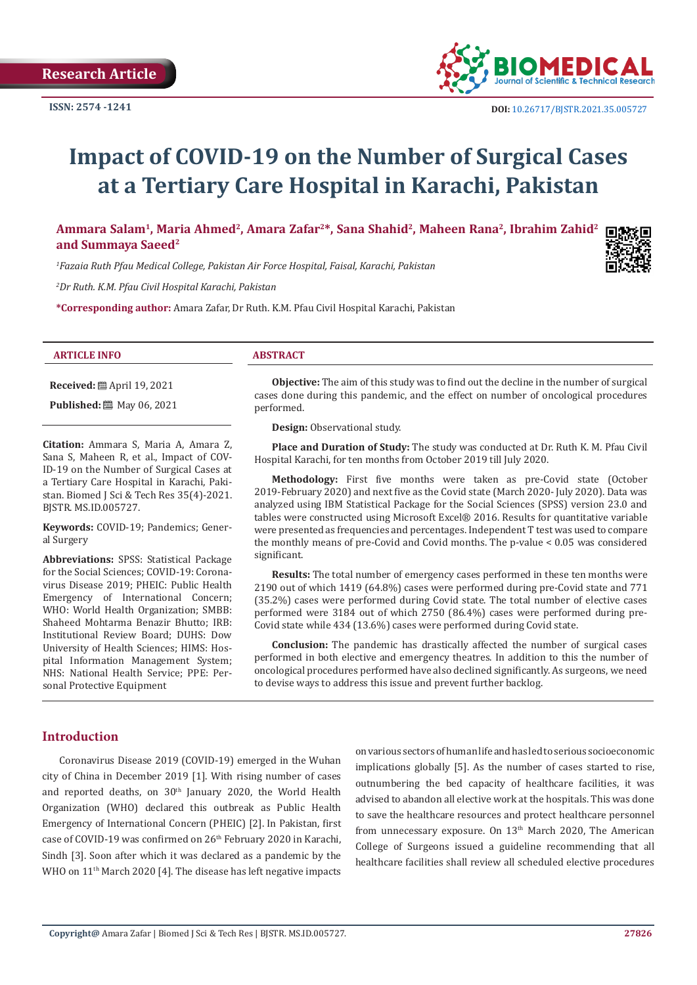

# **Impact of COVID-19 on the Number of Surgical Cases at a Tertiary Care Hospital in Karachi, Pakistan**

**Ammara Salam1, Maria Ahmed2, Amara Zafar2\*, Sana Shahid2, Maheen Rana2, Ibrahim Zahid2 and Summaya Saeed2**

*1 Fazaia Ruth Pfau Medical College, Pakistan Air Force Hospital, Faisal, Karachi, Pakistan*

*2 Dr Ruth. K.M. Pfau Civil Hospital Karachi, Pakistan*

**\*Corresponding author:** Amara Zafar, Dr Ruth. K.M. Pfau Civil Hospital Karachi, Pakistan

#### **ARTICLE INFO ABSTRACT**

**Received:** April 19, 2021 **Published:** 圖 May 06, 2021

**Citation:** Ammara S, Maria A, Amara Z, Sana S, Maheen R, et al., Impact of COV-ID-19 on the Number of Surgical Cases at a Tertiary Care Hospital in Karachi, Pakistan. Biomed J Sci & Tech Res 35(4)-2021. BJSTR. MS.ID.005727.

**Keywords:** COVID-19; Pandemics; General Surgery

**Abbreviations:** SPSS: Statistical Package for the Social Sciences; COVID-19: Coronavirus Disease 2019; PHEIC: Public Health Emergency of International Concern; WHO: World Health Organization; SMBB: Shaheed Mohtarma Benazir Bhutto; IRB: Institutional Review Board; DUHS: Dow University of Health Sciences; HIMS: Hospital Information Management System; NHS: National Health Service; PPE: Personal Protective Equipment

**Objective:** The aim of this study was to find out the decline in the number of surgical cases done during this pandemic, and the effect on number of oncological procedures performed.

**Design:** Observational study.

**Place and Duration of Study:** The study was conducted at Dr. Ruth K. M. Pfau Civil Hospital Karachi, for ten months from October 2019 till July 2020.

**Methodology:** First five months were taken as pre-Covid state (October 2019-February 2020) and next five as the Covid state (March 2020- July 2020). Data was analyzed using IBM Statistical Package for the Social Sciences (SPSS) version 23.0 and tables were constructed using Microsoft Excel® 2016. Results for quantitative variable were presented as frequencies and percentages. Independent T test was used to compare the monthly means of pre-Covid and Covid months. The p-value < 0.05 was considered significant.

**Results:** The total number of emergency cases performed in these ten months were 2190 out of which 1419 (64.8%) cases were performed during pre-Covid state and 771 (35.2%) cases were performed during Covid state. The total number of elective cases performed were 3184 out of which 2750 (86.4%) cases were performed during pre-Covid state while 434 (13.6%) cases were performed during Covid state.

**Conclusion:** The pandemic has drastically affected the number of surgical cases performed in both elective and emergency theatres. In addition to this the number of oncological procedures performed have also declined significantly. As surgeons, we need to devise ways to address this issue and prevent further backlog.

# **Introduction**

Coronavirus Disease 2019 (COVID-19) emerged in the Wuhan city of China in December 2019 [1]. With rising number of cases and reported deaths, on  $30<sup>th</sup>$  January 2020, the World Health Organization (WHO) declared this outbreak as Public Health Emergency of International Concern (PHEIC) [2]. In Pakistan, first case of COVID-19 was confirmed on 26<sup>th</sup> February 2020 in Karachi, Sindh [3]. Soon after which it was declared as a pandemic by the WHO on 11<sup>th</sup> March 2020 [4]. The disease has left negative impacts

on various sectors of human life and has led to serious socioeconomic implications globally [5]. As the number of cases started to rise, outnumbering the bed capacity of healthcare facilities, it was advised to abandon all elective work at the hospitals. This was done to save the healthcare resources and protect healthcare personnel from unnecessary exposure. On 13<sup>th</sup> March 2020, The American College of Surgeons issued a guideline recommending that all healthcare facilities shall review all scheduled elective procedures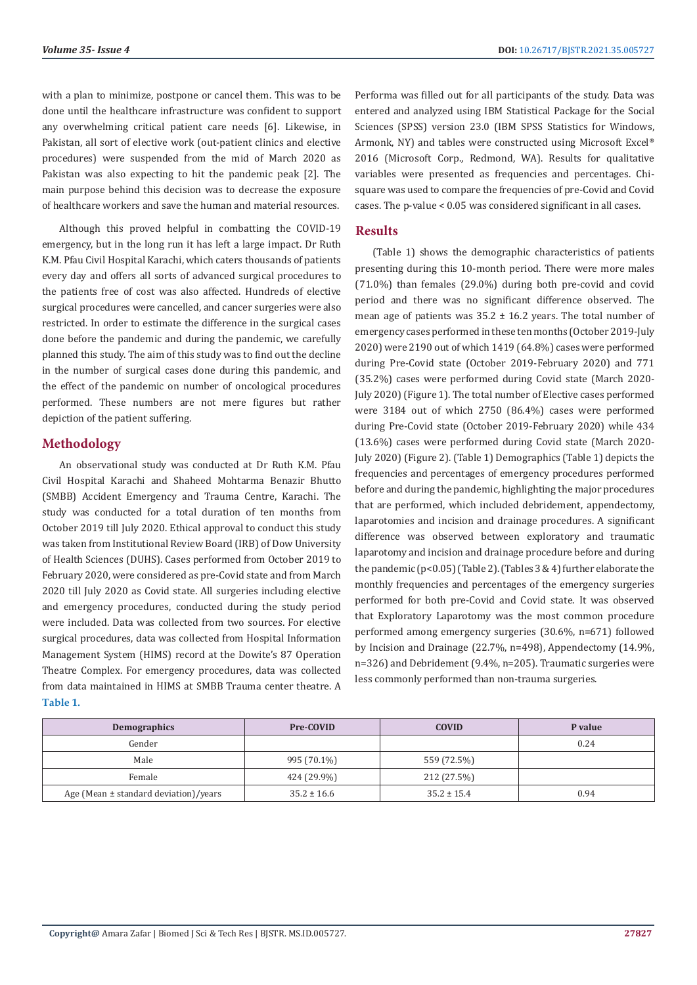with a plan to minimize, postpone or cancel them. This was to be done until the healthcare infrastructure was confident to support any overwhelming critical patient care needs [6]. Likewise, in Pakistan, all sort of elective work (out-patient clinics and elective procedures) were suspended from the mid of March 2020 as Pakistan was also expecting to hit the pandemic peak [2]. The main purpose behind this decision was to decrease the exposure of healthcare workers and save the human and material resources.

Although this proved helpful in combatting the COVID-19 emergency, but in the long run it has left a large impact. Dr Ruth K.M. Pfau Civil Hospital Karachi, which caters thousands of patients every day and offers all sorts of advanced surgical procedures to the patients free of cost was also affected. Hundreds of elective surgical procedures were cancelled, and cancer surgeries were also restricted. In order to estimate the difference in the surgical cases done before the pandemic and during the pandemic, we carefully planned this study. The aim of this study was to find out the decline in the number of surgical cases done during this pandemic, and the effect of the pandemic on number of oncological procedures performed. These numbers are not mere figures but rather depiction of the patient suffering.

## **Methodology**

An observational study was conducted at Dr Ruth K.M. Pfau Civil Hospital Karachi and Shaheed Mohtarma Benazir Bhutto (SMBB) Accident Emergency and Trauma Centre, Karachi. The study was conducted for a total duration of ten months from October 2019 till July 2020. Ethical approval to conduct this study was taken from Institutional Review Board (IRB) of Dow University of Health Sciences (DUHS). Cases performed from October 2019 to February 2020, were considered as pre-Covid state and from March 2020 till July 2020 as Covid state. All surgeries including elective and emergency procedures, conducted during the study period were included. Data was collected from two sources. For elective surgical procedures, data was collected from Hospital Information Management System (HIMS) record at the Dowite's 87 Operation Theatre Complex. For emergency procedures, data was collected from data maintained in HIMS at SMBB Trauma center theatre. A **Table 1.**

Performa was filled out for all participants of the study. Data was entered and analyzed using IBM Statistical Package for the Social Sciences (SPSS) version 23.0 (IBM SPSS Statistics for Windows, Armonk, NY) and tables were constructed using Microsoft Excel® 2016 (Microsoft Corp., Redmond, WA). Results for qualitative variables were presented as frequencies and percentages. Chisquare was used to compare the frequencies of pre-Covid and Covid cases. The p-value < 0.05 was considered significant in all cases.

#### **Results**

(Table 1) shows the demographic characteristics of patients presenting during this 10-month period. There were more males (71.0%) than females (29.0%) during both pre-covid and covid period and there was no significant difference observed. The mean age of patients was  $35.2 \pm 16.2$  years. The total number of emergency cases performed in these ten months (October 2019-July 2020) were 2190 out of which 1419 (64.8%) cases were performed during Pre-Covid state (October 2019-February 2020) and 771 (35.2%) cases were performed during Covid state (March 2020- July 2020) (Figure 1). The total number of Elective cases performed were 3184 out of which 2750 (86.4%) cases were performed during Pre-Covid state (October 2019-February 2020) while 434 (13.6%) cases were performed during Covid state (March 2020- July 2020) (Figure 2). (Table 1) Demographics (Table 1) depicts the frequencies and percentages of emergency procedures performed before and during the pandemic, highlighting the major procedures that are performed, which included debridement, appendectomy, laparotomies and incision and drainage procedures. A significant difference was observed between exploratory and traumatic laparotomy and incision and drainage procedure before and during the pandemic (p<0.05) (Table 2). (Tables 3 & 4) further elaborate the monthly frequencies and percentages of the emergency surgeries performed for both pre-Covid and Covid state. It was observed that Exploratory Laparotomy was the most common procedure performed among emergency surgeries (30.6%, n=671) followed by Incision and Drainage (22.7%, n=498), Appendectomy (14.9%, n=326) and Debridement (9.4%, n=205). Traumatic surgeries were less commonly performed than non-trauma surgeries.

| Demographics                              | Pre-COVID       | <b>COVID</b>    | P value |
|-------------------------------------------|-----------------|-----------------|---------|
| Gender                                    |                 |                 | 0.24    |
| Male                                      | 995 (70.1%)     | 559 (72.5%)     |         |
| Female                                    | 424 (29.9%)     | 212 (27.5%)     |         |
| Age (Mean $\pm$ standard deviation)/years | $35.2 \pm 16.6$ | $35.2 \pm 15.4$ | 0.94    |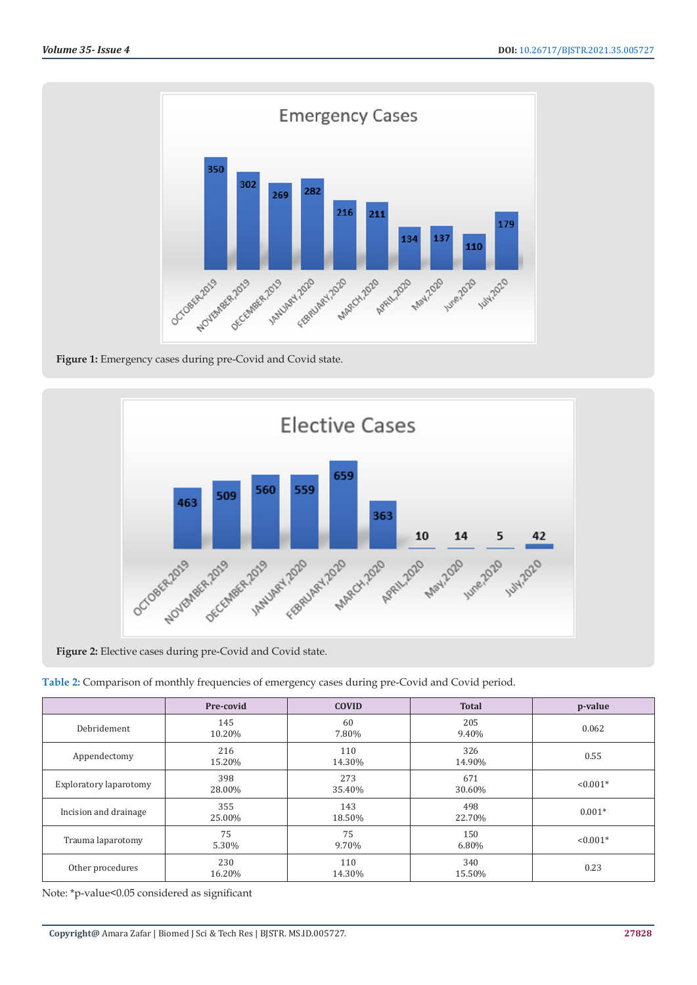

**Figure 1:** Emergency cases during pre-Covid and Covid state.



**Figure 2:** Elective cases during pre-Covid and Covid state.

**Table 2:** Comparison of monthly frequencies of emergency cases during pre-Covid and Covid period.

|                        | Pre-covid     | <b>COVID</b>  | <b>Total</b>  | p-value    |
|------------------------|---------------|---------------|---------------|------------|
| Debridement            | 145<br>10.20% | 60<br>7.80%   | 205<br>9.40%  | 0.062      |
| Appendectomy           | 216<br>15.20% | 110<br>14.30% | 326<br>14.90% | 0.55       |
| Exploratory laparotomy | 398<br>28.00% | 273<br>35.40% | 671<br>30.60% | $< 0.001*$ |
| Incision and drainage  | 355<br>25.00% | 143<br>18.50% | 498<br>22.70% | $0.001*$   |
| Trauma laparotomy      | 75<br>5.30%   | 75<br>9.70%   | 150<br>6.80%  | $< 0.001*$ |
| Other procedures       | 230<br>16.20% | 110<br>14.30% | 340<br>15.50% | 0.23       |

Note: \*p-value<0.05 considered as significant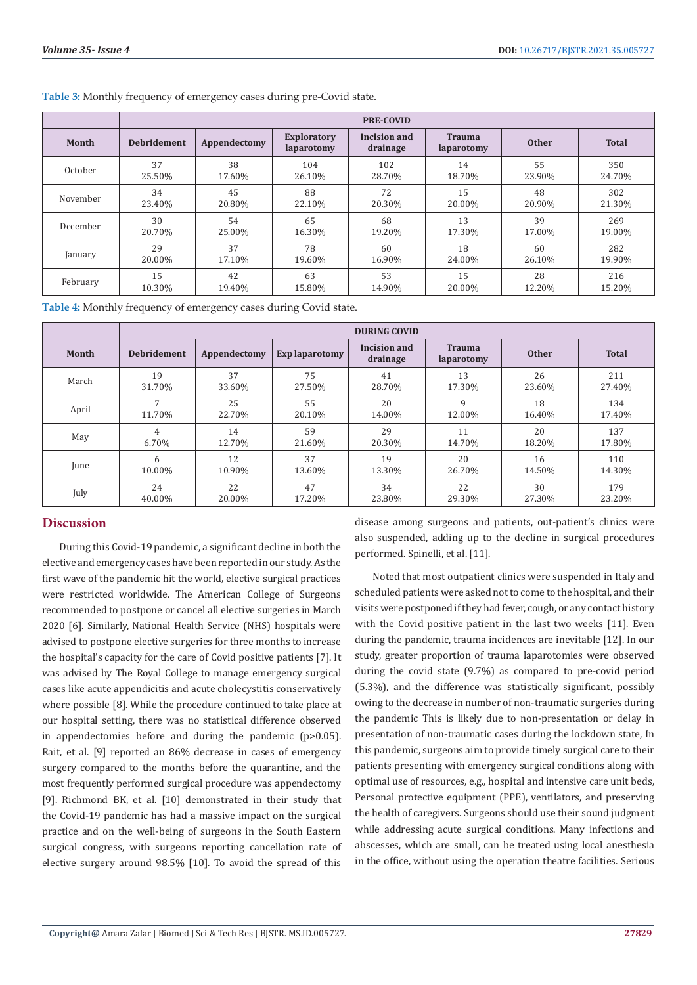|          | <b>PRE-COVID</b>   |              |                                  |                          |                             |              |              |
|----------|--------------------|--------------|----------------------------------|--------------------------|-----------------------------|--------------|--------------|
| Month    | <b>Debridement</b> | Appendectomy | <b>Exploratory</b><br>laparotomy | Incision and<br>drainage | <b>Trauma</b><br>laparotomy | <b>Other</b> | <b>Total</b> |
| October  | 37                 | 38           | 104                              | 102                      | 14                          | 55           | 350          |
|          | 25.50%             | 17.60%       | 26.10%                           | 28.70%                   | 18.70%                      | 23.90%       | 24.70%       |
| November | 34                 | 45           | 88                               | 72                       | 15                          | 48           | 302          |
|          | 23.40%             | 20.80%       | 22.10%                           | 20.30%                   | 20.00%                      | 20.90%       | 21.30%       |
| December | 30                 | 54           | 65                               | 68                       | 13                          | 39           | 269          |
|          | 20.70%             | 25.00%       | 16.30%                           | 19.20%                   | 17.30%                      | 17.00%       | 19.00%       |
| January  | 29                 | 37           | 78                               | 60                       | 18                          | 60           | 282          |
|          | 20.00%             | 17.10%       | 19.60%                           | 16.90%                   | 24.00%                      | 26.10%       | 19.90%       |
| February | 15                 | 42           | 63                               | 53                       | 15                          | 28           | 216          |
|          | 10.30%             | 19.40%       | 15.80%                           | 14.90%                   | 20.00%                      | 12.20%       | 15.20%       |

**Table 3:** Monthly frequency of emergency cases during pre-Covid state.

**Table 4:** Monthly frequency of emergency cases during Covid state.

|       | <b>DURING COVID</b> |              |                |                          |                             |              |              |
|-------|---------------------|--------------|----------------|--------------------------|-----------------------------|--------------|--------------|
| Month | <b>Debridement</b>  | Appendectomy | Exp laparotomy | Incision and<br>drainage | <b>Trauma</b><br>laparotomy | <b>Other</b> | <b>Total</b> |
| March | 19                  | 37           | 75             | 41                       | 13                          | 26           | 211          |
|       | 31.70%              | 33.60%       | 27.50%         | 28.70%                   | 17.30%                      | 23.60%       | 27.40%       |
| April | 7                   | 25           | 55             | 20                       | q                           | 18           | 134          |
|       | 11.70%              | 22.70%       | 20.10%         | 14.00%                   | 12.00%                      | 16.40%       | 17.40%       |
| May   | 4                   | 14           | 59             | 29                       | 11                          | 20           | 137          |
|       | 6.70%               | 12.70%       | 21.60%         | 20.30%                   | 14.70%                      | 18.20%       | 17.80%       |
| June  | 6                   | 12           | 37             | 19                       | 20                          | 16           | 110          |
|       | 10.00%              | 10.90%       | 13.60%         | 13.30%                   | 26.70%                      | 14.50%       | 14.30%       |
| July  | 24                  | 22           | 47             | 34                       | 22                          | 30           | 179          |
|       | 40.00%              | 20.00%       | 17.20%         | 23.80%                   | 29.30%                      | 27.30%       | 23.20%       |

# **Discussion**

During this Covid-19 pandemic, a significant decline in both the elective and emergency cases have been reported in our study. As the first wave of the pandemic hit the world, elective surgical practices were restricted worldwide. The American College of Surgeons recommended to postpone or cancel all elective surgeries in March 2020 [6]. Similarly, National Health Service (NHS) hospitals were advised to postpone elective surgeries for three months to increase the hospital's capacity for the care of Covid positive patients [7]. It was advised by The Royal College to manage emergency surgical cases like acute appendicitis and acute cholecystitis conservatively where possible [8]. While the procedure continued to take place at our hospital setting, there was no statistical difference observed in appendectomies before and during the pandemic (p>0.05). Rait, et al. [9] reported an 86% decrease in cases of emergency surgery compared to the months before the quarantine, and the most frequently performed surgical procedure was appendectomy [9]. Richmond BK, et al. [10] demonstrated in their study that the Covid-19 pandemic has had a massive impact on the surgical practice and on the well-being of surgeons in the South Eastern surgical congress, with surgeons reporting cancellation rate of elective surgery around 98.5% [10]. To avoid the spread of this

disease among surgeons and patients, out-patient's clinics were also suspended, adding up to the decline in surgical procedures performed. Spinelli, et al. [11].

Noted that most outpatient clinics were suspended in Italy and scheduled patients were asked not to come to the hospital, and their visits were postponed if they had fever, cough, or any contact history with the Covid positive patient in the last two weeks [11]. Even during the pandemic, trauma incidences are inevitable [12]. In our study, greater proportion of trauma laparotomies were observed during the covid state (9.7%) as compared to pre-covid period (5.3%), and the difference was statistically significant, possibly owing to the decrease in number of non-traumatic surgeries during the pandemic This is likely due to non-presentation or delay in presentation of non-traumatic cases during the lockdown state, In this pandemic, surgeons aim to provide timely surgical care to their patients presenting with emergency surgical conditions along with optimal use of resources, e.g., hospital and intensive care unit beds, Personal protective equipment (PPE), ventilators, and preserving the health of caregivers. Surgeons should use their sound judgment while addressing acute surgical conditions. Many infections and abscesses, which are small, can be treated using local anesthesia in the office, without using the operation theatre facilities. Serious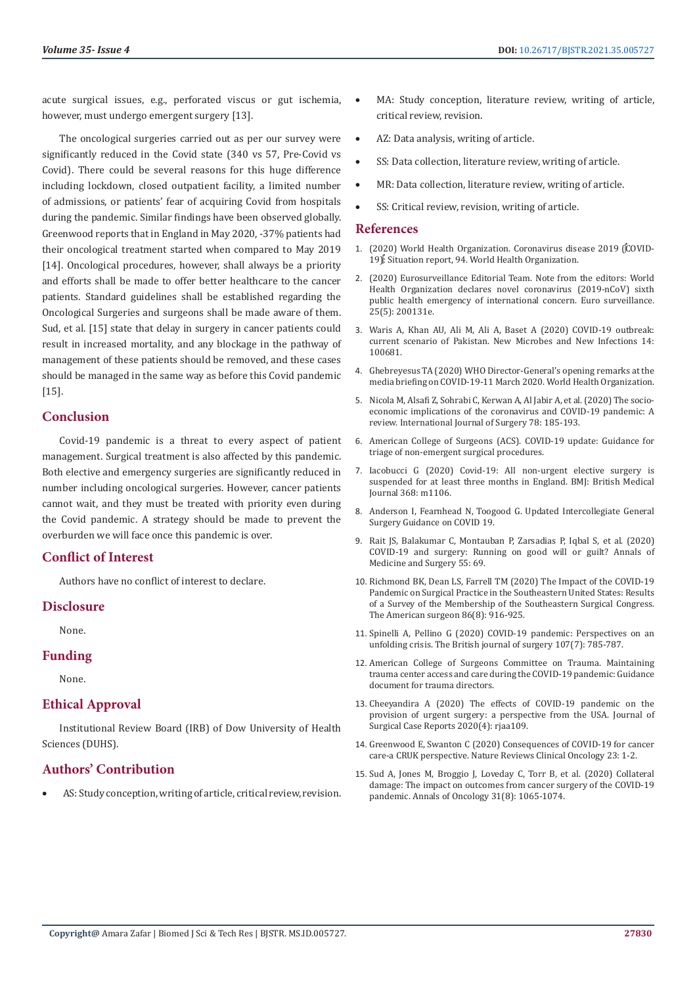acute surgical issues, e.g., perforated viscus or gut ischemia, however, must undergo emergent surgery [13].

The oncological surgeries carried out as per our survey were significantly reduced in the Covid state (340 vs 57, Pre-Covid vs Covid). There could be several reasons for this huge difference including lockdown, closed outpatient facility, a limited number of admissions, or patients' fear of acquiring Covid from hospitals during the pandemic. Similar findings have been observed globally. Greenwood reports that in England in May 2020, -37% patients had their oncological treatment started when compared to May 2019 [14]. Oncological procedures, however, shall always be a priority and efforts shall be made to offer better healthcare to the cancer patients. Standard guidelines shall be established regarding the Oncological Surgeries and surgeons shall be made aware of them. Sud, et al. [15] state that delay in surgery in cancer patients could result in increased mortality, and any blockage in the pathway of management of these patients should be removed, and these cases should be managed in the same way as before this Covid pandemic [15].

## **Conclusion**

Covid-19 pandemic is a threat to every aspect of patient management. Surgical treatment is also affected by this pandemic. Both elective and emergency surgeries are significantly reduced in number including oncological surgeries. However, cancer patients cannot wait, and they must be treated with priority even during the Covid pandemic. A strategy should be made to prevent the overburden we will face once this pandemic is over.

# **Conflict of Interest**

Authors have no conflict of interest to declare.

# **Disclosure**

None.

#### **Funding**

None.

# **Ethical Approval**

Institutional Review Board (IRB) of Dow University of Health Sciences (DUHS).

# **Authors' Contribution**

AS: Study conception, writing of article, critical review, revision.

- MA: Study conception, literature review, writing of article, critical review, revision.
- AZ: Data analysis, writing of article.
- SS: Data collection, literature review, writing of article.
- MR: Data collection, literature review, writing of article.
- SS: Critical review, revision, writing of article.

#### **References**

- 1. [\(2020\) World Health Organization. Coronavirus disease 2019 \(COVID-](https://reliefweb.int/report/world/coronavirus-disease-2019-covid-19-situation-report-94-23-april-2020)[19\): Situation report, 94. World Health Organization.](https://reliefweb.int/report/world/coronavirus-disease-2019-covid-19-situation-report-94-23-april-2020)
- 2. (2020) Eurosurveillance Editorial Team. Note from the editors: World Health Organization declares novel coronavirus (2019-nCoV) sixth public health emergency of international concern. Euro surveillance. 25(5): 200131e.
- 3. [Waris A, Khan AU, Ali M, Ali A, Baset A \(2020\) COVID-19 outbreak:](https://www.sciencedirect.com/science/article/pii/S2052297520300330) [current scenario of Pakistan. New Microbes and New Infections 14:](https://www.sciencedirect.com/science/article/pii/S2052297520300330) [100681.](https://www.sciencedirect.com/science/article/pii/S2052297520300330)
- 4. [Ghebreyesus TA \(2020\) WHO Director-General's opening remarks at the](https://www.who.int/director-general/speeches/detail/who-director-general-s-opening-remarks-at-the-media-briefing-on-covid-19---11-march-2020) [media briefing on COVID-19-11 March 2020. World Health Organization.](https://www.who.int/director-general/speeches/detail/who-director-general-s-opening-remarks-at-the-media-briefing-on-covid-19---11-march-2020)
- 5. [Nicola M, Alsafi Z, Sohrabi C, Kerwan A, Al Jabir A, et al. \(2020\) The socio](https://www.ncbi.nlm.nih.gov/pmc/articles/PMC7162753/)[economic implications of the coronavirus and COVID-19 pandemic: A](https://www.ncbi.nlm.nih.gov/pmc/articles/PMC7162753/) [review. International Journal of Surgery 78: 185-193.](https://www.ncbi.nlm.nih.gov/pmc/articles/PMC7162753/)
- 6. American College of Surgeons (ACS). COVID-19 update: Guidance for triage of non-emergent surgical procedures.
- 7. [Iacobucci G \(2020\) Covid-19: All non-urgent elective surgery is](https://pubmed.ncbi.nlm.nih.gov/32188602/) [suspended for at least three months in England. BMJ: British Medical](https://pubmed.ncbi.nlm.nih.gov/32188602/) [Journal 368: m1106.](https://pubmed.ncbi.nlm.nih.gov/32188602/)
- 8. [Anderson I, Fearnhead N, Toogood G. Updated Intercollegiate General](https://www.rcseng.ac.uk/coronavirus/joint-guidance-for-surgeons-v2/) [Surgery Guidance on COVID 19.](https://www.rcseng.ac.uk/coronavirus/joint-guidance-for-surgeons-v2/)
- 9. [Rait JS, Balakumar C, Montauban P, Zarsadias P, Iqbal S, et al. \(2020\)](https://www.ncbi.nlm.nih.gov/pmc/articles/PMC7237893/) [COVID-19 and surgery: Running on good will or guilt? Annals of](https://www.ncbi.nlm.nih.gov/pmc/articles/PMC7237893/) [Medicine and Surgery 55: 69.](https://www.ncbi.nlm.nih.gov/pmc/articles/PMC7237893/)
- 10. [Richmond BK, Dean LS, Farrell TM \(2020\) The Impact of the COVID-19](https://pubmed.ncbi.nlm.nih.gov/32926795/) [Pandemic on Surgical Practice in the Southeastern United States: Results](https://pubmed.ncbi.nlm.nih.gov/32926795/) [of a Survey of the Membership of the Southeastern Surgical Congress.](https://pubmed.ncbi.nlm.nih.gov/32926795/) [The American surgeon 86\(8\): 916-925.](https://pubmed.ncbi.nlm.nih.gov/32926795/)
- 11. [Spinelli A, Pellino G \(2020\) COVID‐19 pandemic: Perspectives on an](https://pubmed.ncbi.nlm.nih.gov/32191340/) [unfolding crisis. The British journal of surgery 107\(7\): 785-787.](https://pubmed.ncbi.nlm.nih.gov/32191340/)
- 12. American College of Surgeons Committee on Trauma. Maintaining trauma center access and care during the COVID-19 pandemic: Guidance document for trauma directors.
- 13. Cheeyandira A (2020) The effects of COVID-19 pandemic on the provision of urgent surgery: a perspective from the USA. Journal of Surgical Case Reports 2020(4): riaa109.
- 14. Greenwood E, Swanton C (2020) Consequences of COVID-19 for cancer care-a CRUK perspective. Nature Reviews Clinical Oncology 23: 1-2.
- 15. [Sud A, Jones M, Broggio J, Loveday C, Torr B, et al. \(2020\) Collateral](https://pubmed.ncbi.nlm.nih.gov/32442581/) [damage: The impact on outcomes from cancer surgery of the COVID-19](https://pubmed.ncbi.nlm.nih.gov/32442581/) [pandemic. Annals of Oncology 31\(8\): 1065-1074.](https://pubmed.ncbi.nlm.nih.gov/32442581/)